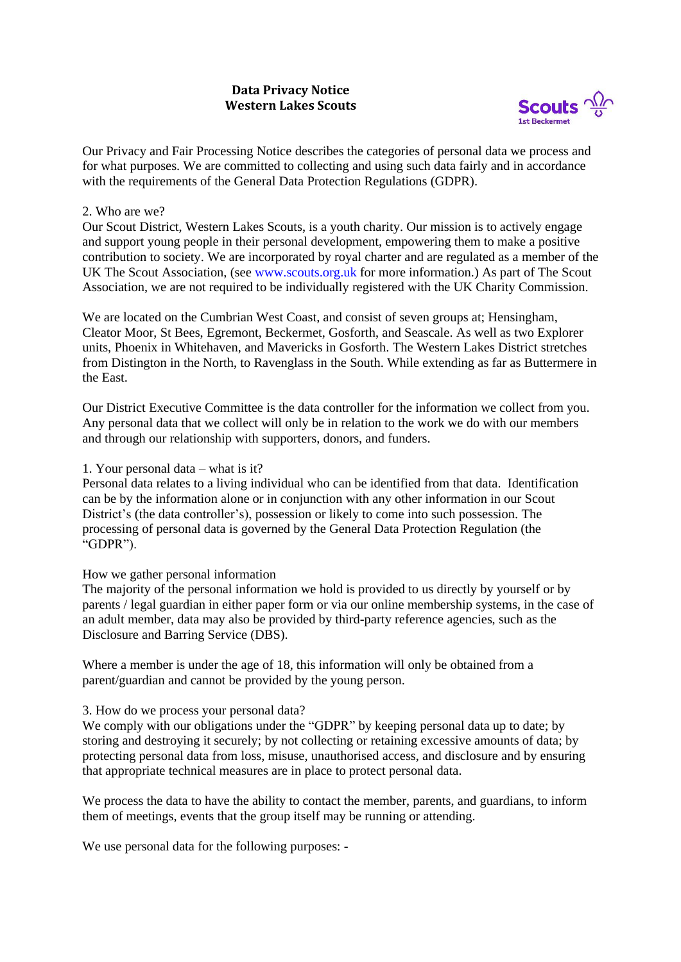## **Data Privacy Notice Western Lakes Scouts**



Our Privacy and Fair Processing Notice describes the categories of personal data we process and for what purposes. We are committed to collecting and using such data fairly and in accordance with the requirements of the General Data Protection Regulations (GDPR).

#### 2. Who are we?

Our Scout District, Western Lakes Scouts, is a youth charity. Our mission is to actively engage and support young people in their personal development, empowering them to make a positive contribution to society. We are incorporated by royal charter and are regulated as a member of the UK The Scout Association, (see [www.scouts.org.uk](http://www.scouts.org.uk/) for more information.) As part of The Scout Association, we are not required to be individually registered with the UK Charity Commission.

We are located on the Cumbrian West Coast, and consist of seven groups at; Hensingham, Cleator Moor, St Bees, Egremont, Beckermet, Gosforth, and Seascale. As well as two Explorer units, Phoenix in Whitehaven, and Mavericks in Gosforth. The Western Lakes District stretches from Distington in the North, to Ravenglass in the South. While extending as far as Buttermere in the East.

Our District Executive Committee is the data controller for the information we collect from you. Any personal data that we collect will only be in relation to the work we do with our members and through our relationship with supporters, donors, and funders.

#### 1. Your personal data – what is it?

Personal data relates to a living individual who can be identified from that data. Identification can be by the information alone or in conjunction with any other information in our Scout District's (the data controller's), possession or likely to come into such possession. The processing of personal data is governed by the General Data Protection Regulation (the "GDPR").

#### How we gather personal information

The majority of the personal information we hold is provided to us directly by yourself or by parents / legal guardian in either paper form or via our online membership systems, in the case of an adult member, data may also be provided by third-party reference agencies, such as the Disclosure and Barring Service (DBS).

Where a member is under the age of 18, this information will only be obtained from a parent/guardian and cannot be provided by the young person.

## 3. How do we process your personal data?

We comply with our obligations under the "GDPR" by keeping personal data up to date; by storing and destroying it securely; by not collecting or retaining excessive amounts of data; by protecting personal data from loss, misuse, unauthorised access, and disclosure and by ensuring that appropriate technical measures are in place to protect personal data.

We process the data to have the ability to contact the member, parents, and guardians, to inform them of meetings, events that the group itself may be running or attending.

We use personal data for the following purposes: -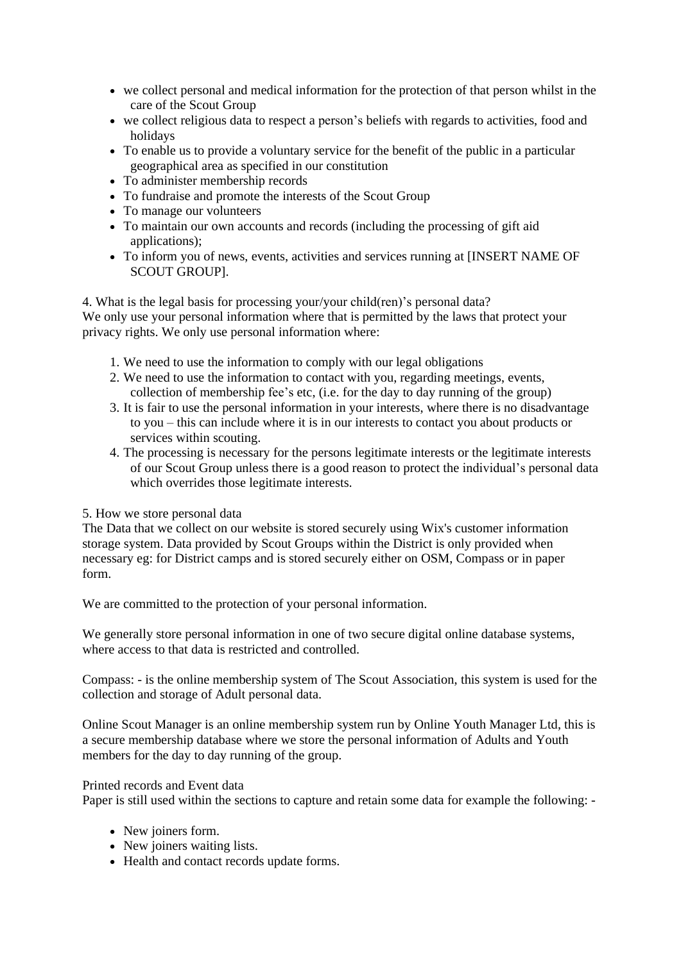- we collect personal and medical information for the protection of that person whilst in the care of the Scout Group
- we collect religious data to respect a person's beliefs with regards to activities, food and holidays
- To enable us to provide a voluntary service for the benefit of the public in a particular geographical area as specified in our constitution
- To administer membership records
- To fundraise and promote the interests of the Scout Group
- To manage our volunteers
- To maintain our own accounts and records (including the processing of gift aid applications);
- To inform you of news, events, activities and services running at [INSERT NAME OF SCOUT GROUP].

4. What is the legal basis for processing your/your child(ren)'s personal data? We only use your personal information where that is permitted by the laws that protect your privacy rights. We only use personal information where:

- 1. We need to use the information to comply with our legal obligations
- 2. We need to use the information to contact with you, regarding meetings, events, collection of membership fee's etc, (i.e. for the day to day running of the group)
- 3. It is fair to use the personal information in your interests, where there is no disadvantage to you – this can include where it is in our interests to contact you about products or services within scouting.
- 4. The processing is necessary for the persons legitimate interests or the legitimate interests of our Scout Group unless there is a good reason to protect the individual's personal data which overrides those legitimate interests.

5. How we store personal data

The Data that we collect on our website is stored securely using Wix's customer information storage system. Data provided by Scout Groups within the District is only provided when necessary eg: for District camps and is stored securely either on OSM, Compass or in paper form.

We are committed to the protection of your personal information.

We generally store personal information in one of two secure digital online database systems, where access to that data is restricted and controlled.

Compass: - is the online membership system of The Scout Association, this system is used for the collection and storage of Adult personal data.

Online Scout Manager is an online membership system run by Online Youth Manager Ltd, this is a secure membership database where we store the personal information of Adults and Youth members for the day to day running of the group.

## Printed records and Event data

Paper is still used within the sections to capture and retain some data for example the following: -

- New joiners form.
- New joiners waiting lists.
- Health and contact records update forms.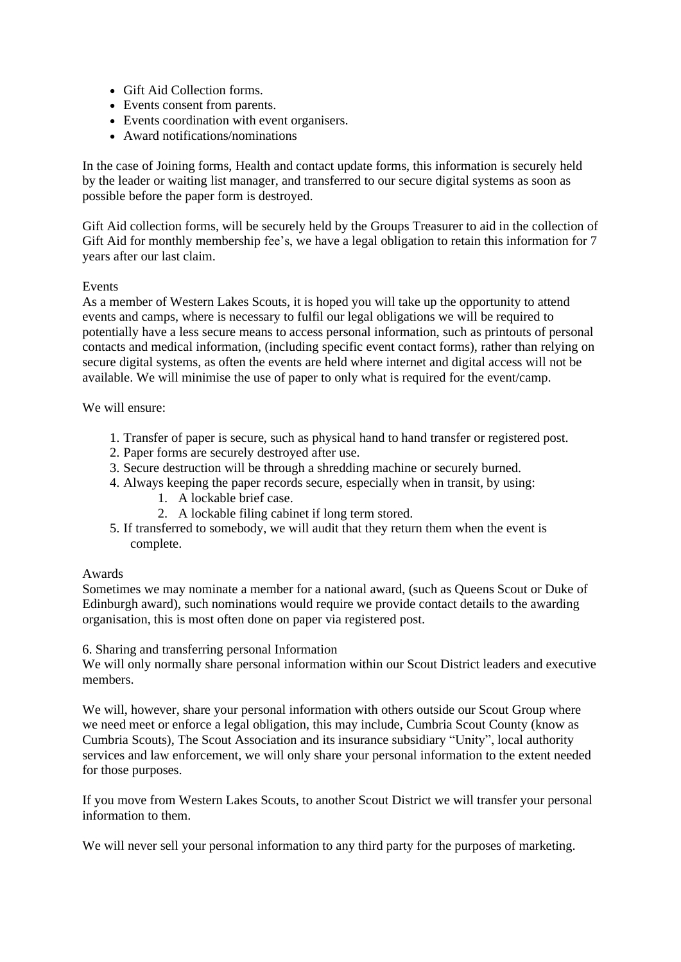- Gift Aid Collection forms.
- Events consent from parents.
- Events coordination with event organisers.
- Award notifications/nominations

In the case of Joining forms, Health and contact update forms, this information is securely held by the leader or waiting list manager, and transferred to our secure digital systems as soon as possible before the paper form is destroyed.

Gift Aid collection forms, will be securely held by the Groups Treasurer to aid in the collection of Gift Aid for monthly membership fee's, we have a legal obligation to retain this information for 7 years after our last claim.

## Events

As a member of Western Lakes Scouts, it is hoped you will take up the opportunity to attend events and camps, where is necessary to fulfil our legal obligations we will be required to potentially have a less secure means to access personal information, such as printouts of personal contacts and medical information, (including specific event contact forms), rather than relying on secure digital systems, as often the events are held where internet and digital access will not be available. We will minimise the use of paper to only what is required for the event/camp.

#### We will ensure:

- 1. Transfer of paper is secure, such as physical hand to hand transfer or registered post.
- 2. Paper forms are securely destroyed after use.
- 3. Secure destruction will be through a shredding machine or securely burned.
- 4. Always keeping the paper records secure, especially when in transit, by using:
	- 1. A lockable brief case.
	- 2. A lockable filing cabinet if long term stored.
- 5. If transferred to somebody, we will audit that they return them when the event is complete.

#### Awards

Sometimes we may nominate a member for a national award, (such as Queens Scout or Duke of Edinburgh award), such nominations would require we provide contact details to the awarding organisation, this is most often done on paper via registered post.

#### 6. Sharing and transferring personal Information

We will only normally share personal information within our Scout District leaders and executive members.

We will, however, share your personal information with others outside our Scout Group where we need meet or enforce a legal obligation, this may include, Cumbria Scout County (know as Cumbria Scouts), The Scout Association and its insurance subsidiary "Unity", local authority services and law enforcement, we will only share your personal information to the extent needed for those purposes.

If you move from Western Lakes Scouts, to another Scout District we will transfer your personal information to them.

We will never sell your personal information to any third party for the purposes of marketing.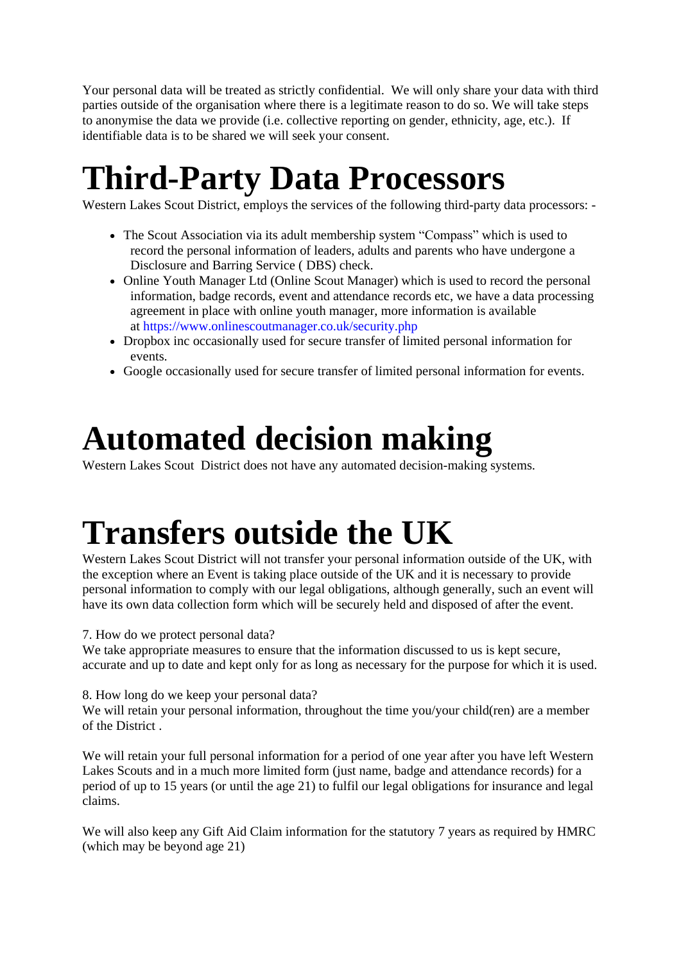Your personal data will be treated as strictly confidential. We will only share your data with third parties outside of the organisation where there is a legitimate reason to do so. We will take steps to anonymise the data we provide (i.e. collective reporting on gender, ethnicity, age, etc.). If identifiable data is to be shared we will seek your consent.

# **Third-Party Data Processors**

Western Lakes Scout District, employs the services of the following third-party data processors: -

- The Scout Association via its adult membership system "Compass" which is used to record the personal information of leaders, adults and parents who have undergone a Disclosure and Barring Service ( DBS) check.
- Online Youth Manager Ltd (Online Scout Manager) which is used to record the personal information, badge records, event and attendance records etc, we have a data processing agreement in place with online youth manager, more information is available at <https://www.onlinescoutmanager.co.uk/security.php>
- Dropbox inc occasionally used for secure transfer of limited personal information for events.
- Google occasionally used for secure transfer of limited personal information for events.

# **Automated decision making**

Western Lakes Scout District does not have any automated decision-making systems.

# **Transfers outside the UK**

Western Lakes Scout District will not transfer your personal information outside of the UK, with the exception where an Event is taking place outside of the UK and it is necessary to provide personal information to comply with our legal obligations, although generally, such an event will have its own data collection form which will be securely held and disposed of after the event.

# 7. How do we protect personal data?

We take appropriate measures to ensure that the information discussed to us is kept secure, accurate and up to date and kept only for as long as necessary for the purpose for which it is used.

# 8. How long do we keep your personal data?

We will retain your personal information, throughout the time you/your child(ren) are a member of the District .

We will retain your full personal information for a period of one year after you have left Western Lakes Scouts and in a much more limited form (just name, badge and attendance records) for a period of up to 15 years (or until the age 21) to fulfil our legal obligations for insurance and legal claims.

We will also keep any Gift Aid Claim information for the statutory 7 years as required by HMRC (which may be beyond age 21)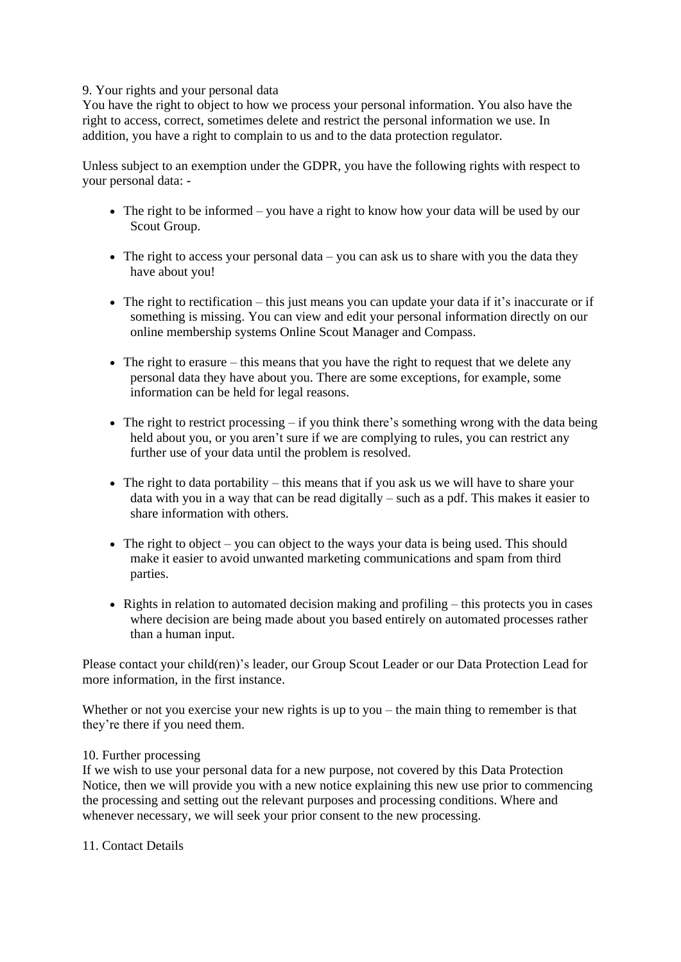#### 9. Your rights and your personal data

You have the right to object to how we process your personal information. You also have the right to access, correct, sometimes delete and restrict the personal information we use. In addition, you have a right to complain to us and to the data protection regulator.

Unless subject to an exemption under the GDPR, you have the following rights with respect to your personal data: -

- The right to be informed you have a right to know how your data will be used by our Scout Group.
- The right to access your personal data you can ask us to share with you the data they have about you!
- The right to rectification this just means you can update your data if it's inaccurate or if something is missing. You can view and edit your personal information directly on our online membership systems Online Scout Manager and Compass.
- The right to erasure this means that you have the right to request that we delete any personal data they have about you. There are some exceptions, for example, some information can be held for legal reasons.
- The right to restrict processing if you think there's something wrong with the data being held about you, or you aren't sure if we are complying to rules, you can restrict any further use of your data until the problem is resolved.
- The right to data portability this means that if you ask us we will have to share your data with you in a way that can be read digitally – such as a pdf. This makes it easier to share information with others.
- The right to object you can object to the ways your data is being used. This should make it easier to avoid unwanted marketing communications and spam from third parties.
- Rights in relation to automated decision making and profiling this protects you in cases where decision are being made about you based entirely on automated processes rather than a human input.

Please contact your child(ren)'s leader, our Group Scout Leader or our Data Protection Lead for more information, in the first instance.

Whether or not you exercise your new rights is up to you – the main thing to remember is that they're there if you need them.

## 10. Further processing

If we wish to use your personal data for a new purpose, not covered by this Data Protection Notice, then we will provide you with a new notice explaining this new use prior to commencing the processing and setting out the relevant purposes and processing conditions. Where and whenever necessary, we will seek your prior consent to the new processing.

11. Contact Details